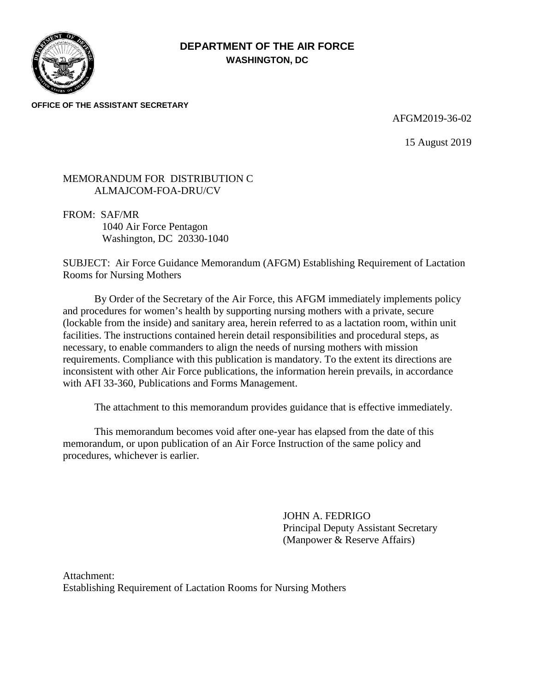

# **DEPARTMENT OF THE AIR FORCE WASHINGTON, DC**

**OFFICE OF THE ASSISTANT SECRETARY**

#### AFGM2019-36-02

15 August 2019

### MEMORANDUM FOR DISTRIBUTION C ALMAJCOM-FOA-DRU/CV

FROM: SAF/MR 1040 Air Force Pentagon Washington, DC 20330-1040

SUBJECT: Air Force Guidance Memorandum (AFGM) Establishing Requirement of Lactation Rooms for Nursing Mothers

By Order of the Secretary of the Air Force, this AFGM immediately implements policy and procedures for women's health by supporting nursing mothers with a private, secure (lockable from the inside) and sanitary area, herein referred to as a lactation room, within unit facilities. The instructions contained herein detail responsibilities and procedural steps, as necessary, to enable commanders to align the needs of nursing mothers with mission requirements. Compliance with this publication is mandatory. To the extent its directions are inconsistent with other Air Force publications, the information herein prevails, in accordance with AFI 33-360, Publications and Forms Management.

The attachment to this memorandum provides guidance that is effective immediately.

This memorandum becomes void after one-year has elapsed from the date of this memorandum, or upon publication of an Air Force Instruction of the same policy and procedures, whichever is earlier.

> JOHN A. FEDRIGO Principal Deputy Assistant Secretary (Manpower & Reserve Affairs)

Attachment: Establishing Requirement of Lactation Rooms for Nursing Mothers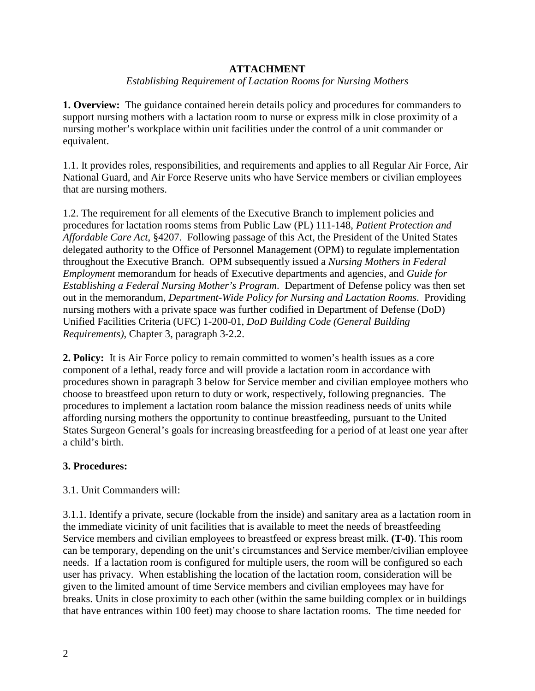### **ATTACHMENT**

### *Establishing Requirement of Lactation Rooms for Nursing Mothers*

**1. Overview:** The guidance contained herein details policy and procedures for commanders to support nursing mothers with a lactation room to nurse or express milk in close proximity of a nursing mother's workplace within unit facilities under the control of a unit commander or equivalent.

1.1. It provides roles, responsibilities, and requirements and applies to all Regular Air Force, Air National Guard, and Air Force Reserve units who have Service members or civilian employees that are nursing mothers.

1.2. The requirement for all elements of the Executive Branch to implement policies and procedures for lactation rooms stems from Public Law (PL) 111-148, *Patient Protection and Affordable Care Act*, §4207. Following passage of this Act, the President of the United States delegated authority to the Office of Personnel Management (OPM) to regulate implementation throughout the Executive Branch. OPM subsequently issued a *Nursing Mothers in Federal Employment* memorandum for heads of Executive departments and agencies, and *Guide for Establishing a Federal Nursing Mother's Program*. Department of Defense policy was then set out in the memorandum, *Department-Wide Policy for Nursing and Lactation Rooms*. Providing nursing mothers with a private space was further codified in Department of Defense (DoD) Unified Facilities Criteria (UFC) 1-200-01, *DoD Building Code (General Building Requirements)*, Chapter 3, paragraph 3-2.2.

**2. Policy:** It is Air Force policy to remain committed to women's health issues as a core component of a lethal, ready force and will provide a lactation room in accordance with procedures shown in paragraph 3 below for Service member and civilian employee mothers who choose to breastfeed upon return to duty or work, respectively, following pregnancies. The procedures to implement a lactation room balance the mission readiness needs of units while affording nursing mothers the opportunity to continue breastfeeding, pursuant to the United States Surgeon General's goals for increasing breastfeeding for a period of at least one year after a child's birth.

## **3. Procedures:**

#### 3.1. Unit Commanders will:

3.1.1. Identify a private, secure (lockable from the inside) and sanitary area as a lactation room in the immediate vicinity of unit facilities that is available to meet the needs of breastfeeding Service members and civilian employees to breastfeed or express breast milk. **(T-0)**. This room can be temporary, depending on the unit's circumstances and Service member/civilian employee needs. If a lactation room is configured for multiple users, the room will be configured so each user has privacy. When establishing the location of the lactation room, consideration will be given to the limited amount of time Service members and civilian employees may have for breaks. Units in close proximity to each other (within the same building complex or in buildings that have entrances within 100 feet) may choose to share lactation rooms. The time needed for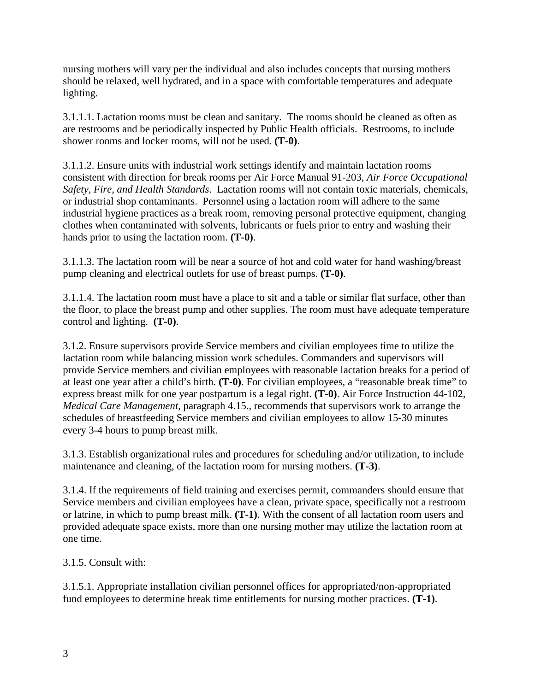nursing mothers will vary per the individual and also includes concepts that nursing mothers should be relaxed, well hydrated, and in a space with comfortable temperatures and adequate lighting.

3.1.1.1. Lactation rooms must be clean and sanitary. The rooms should be cleaned as often as are restrooms and be periodically inspected by Public Health officials. Restrooms, to include shower rooms and locker rooms, will not be used. **(T-0)**.

3.1.1.2. Ensure units with industrial work settings identify and maintain lactation rooms consistent with direction for break rooms per Air Force Manual 91-203, *Air Force Occupational Safety, Fire, and Health Standards*. Lactation rooms will not contain toxic materials, chemicals, or industrial shop contaminants. Personnel using a lactation room will adhere to the same industrial hygiene practices as a break room, removing personal protective equipment, changing clothes when contaminated with solvents, lubricants or fuels prior to entry and washing their hands prior to using the lactation room. **(T-0)**.

3.1.1.3. The lactation room will be near a source of hot and cold water for hand washing/breast pump cleaning and electrical outlets for use of breast pumps. **(T-0)**.

3.1.1.4. The lactation room must have a place to sit and a table or similar flat surface, other than the floor, to place the breast pump and other supplies. The room must have adequate temperature control and lighting. **(T-0)**.

3.1.2. Ensure supervisors provide Service members and civilian employees time to utilize the lactation room while balancing mission work schedules. Commanders and supervisors will provide Service members and civilian employees with reasonable lactation breaks for a period of at least one year after a child's birth. **(T-0)**. For civilian employees, a "reasonable break time" to express breast milk for one year postpartum is a legal right. **(T-0)**. Air Force Instruction 44-102, *Medical Care Management*, paragraph 4.15., recommends that supervisors work to arrange the schedules of breastfeeding Service members and civilian employees to allow 15-30 minutes every 3-4 hours to pump breast milk.

3.1.3. Establish organizational rules and procedures for scheduling and/or utilization, to include maintenance and cleaning, of the lactation room for nursing mothers. **(T-3)**.

3.1.4. If the requirements of field training and exercises permit, commanders should ensure that Service members and civilian employees have a clean, private space, specifically not a restroom or latrine, in which to pump breast milk. **(T-1)**. With the consent of all lactation room users and provided adequate space exists, more than one nursing mother may utilize the lactation room at one time.

3.1.5. Consult with:

3.1.5.1. Appropriate installation civilian personnel offices for appropriated/non-appropriated fund employees to determine break time entitlements for nursing mother practices. **(T-1)**.